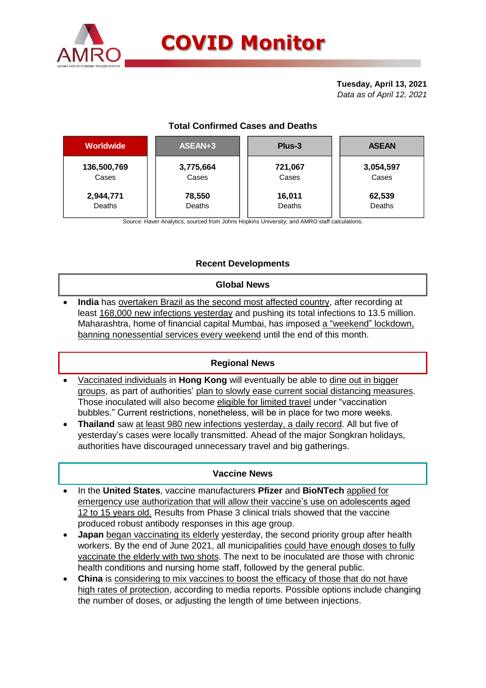

# **COVID Monitor**

**Tuesday, April 13, 2021** *Data as of April 12, 2021*

# **Total Confirmed Cases and Deaths**

| <b>Worldwide</b> | ASEAN+3   | Plus-3  | <b>ASEAN</b>       |  |  |
|------------------|-----------|---------|--------------------|--|--|
| 136,500,769      | 3,775,664 | 721,067 | 3,054,597<br>Cases |  |  |
| Cases            | Cases     | Cases   |                    |  |  |
| 2,944,771        | 78,550    | 16,011  | 62,539             |  |  |
| Deaths           | Deaths    | Deaths  | Deaths             |  |  |

Source: Haver Analytics, sourced from Johns Hopkins University; and AMRO staff calculations.

# **Recent Developments**

### **Global News**

 **India** has overtaken Brazil as the second most affected country, after recording at least 168,000 new infections yesterday and pushing its total infections to 13.5 million. Maharashtra, home of financial capital Mumbai, has imposed a "weekend" lockdown, banning nonessential services every weekend until the end of this month.

### **Regional News**

- Vaccinated individuals in **Hong Kong** will eventually be able to dine out in bigger groups, as part of authorities' plan to slowly ease current social distancing measures. Those inoculated will also become eligible for limited travel under "vaccination bubbles." Current restrictions, nonetheless, will be in place for two more weeks.
- **Thailand** saw at least 980 new infections yesterday, a daily record. All but five of yesterday's cases were locally transmitted. Ahead of the major Songkran holidays, authorities have discouraged unnecessary travel and big gatherings.

### **Vaccine News**

- In the **United States**, vaccine manufacturers **Pfizer** and **BioNTech** applied for emergency use authorization that will allow their vaccine's use on adolescents aged 12 to 15 years old. Results from Phase 3 clinical trials showed that the vaccine produced robust antibody responses in this age group.
- **Japan** began vaccinating its elderly yesterday, the second priority group after health workers. By the end of June 2021, all municipalities could have enough doses to fully vaccinate the elderly with two shots. The next to be inoculated are those with chronic health conditions and nursing home staff, followed by the general public.
- **China** is considering to mix vaccines to boost the efficacy of those that do not have high rates of protection, according to media reports. Possible options include changing the number of doses, or adjusting the length of time between injections.